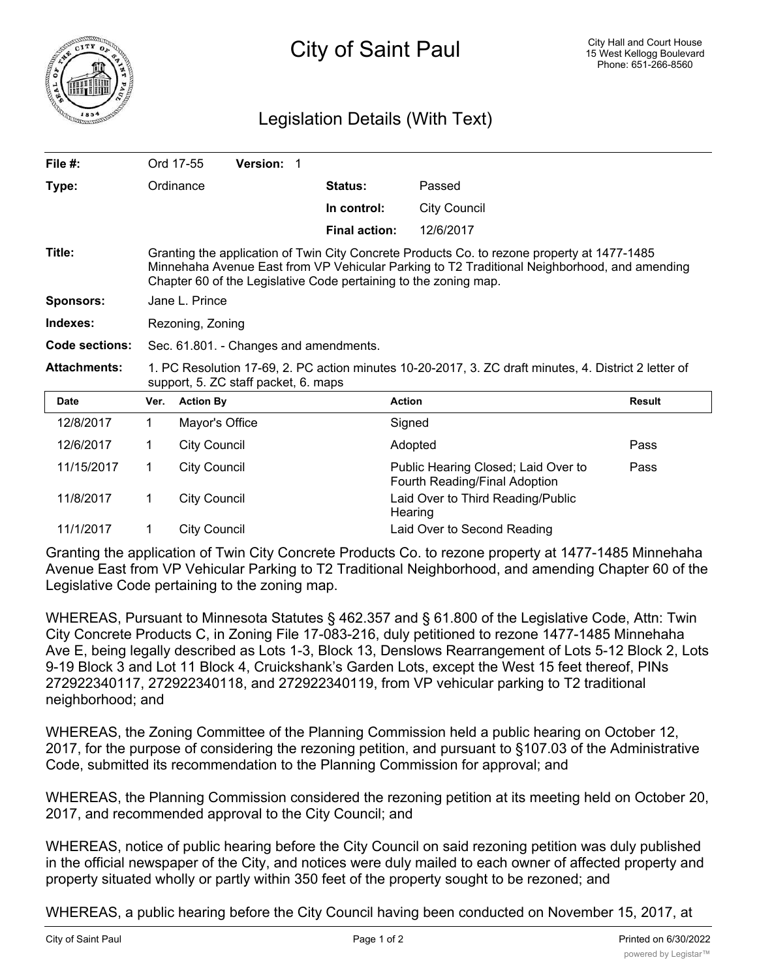

## Legislation Details (With Text)

| File $#$ :          |                                                                                                                                                                                                                                                                 | Ord 17-55<br><b>Version: 1</b> |                      |                                                                      |               |
|---------------------|-----------------------------------------------------------------------------------------------------------------------------------------------------------------------------------------------------------------------------------------------------------------|--------------------------------|----------------------|----------------------------------------------------------------------|---------------|
| Type:               |                                                                                                                                                                                                                                                                 | Ordinance                      | <b>Status:</b>       | Passed                                                               |               |
|                     |                                                                                                                                                                                                                                                                 |                                | In control:          | <b>City Council</b>                                                  |               |
|                     |                                                                                                                                                                                                                                                                 |                                | <b>Final action:</b> | 12/6/2017                                                            |               |
| Title:              | Granting the application of Twin City Concrete Products Co. to rezone property at 1477-1485<br>Minnehaha Avenue East from VP Vehicular Parking to T2 Traditional Neighborhood, and amending<br>Chapter 60 of the Legislative Code pertaining to the zoning map. |                                |                      |                                                                      |               |
| <b>Sponsors:</b>    | Jane L. Prince                                                                                                                                                                                                                                                  |                                |                      |                                                                      |               |
| Indexes:            | Rezoning, Zoning                                                                                                                                                                                                                                                |                                |                      |                                                                      |               |
| Code sections:      | Sec. 61.801. - Changes and amendments.                                                                                                                                                                                                                          |                                |                      |                                                                      |               |
| <b>Attachments:</b> | 1. PC Resolution 17-69, 2. PC action minutes 10-20-2017, 3. ZC draft minutes, 4. District 2 letter of<br>support, 5. ZC staff packet, 6. maps                                                                                                                   |                                |                      |                                                                      |               |
| <b>Date</b>         | Ver.                                                                                                                                                                                                                                                            | <b>Action By</b>               | <b>Action</b>        |                                                                      | <b>Result</b> |
| 12/8/2017           | 1.                                                                                                                                                                                                                                                              | Mayor's Office                 |                      | Signed                                                               |               |
| 12/6/2017           | 1.                                                                                                                                                                                                                                                              | <b>City Council</b>            |                      | Adopted                                                              | Pass          |
| 11/15/2017          | 1                                                                                                                                                                                                                                                               | <b>City Council</b>            |                      | Public Hearing Closed; Laid Over to<br>Fourth Reading/Final Adoption | Pass          |
| 11/8/2017           | 1                                                                                                                                                                                                                                                               | <b>City Council</b>            |                      | Laid Over to Third Reading/Public<br>Hearing                         |               |
| 11/1/2017           | 1.                                                                                                                                                                                                                                                              | <b>City Council</b>            |                      | Laid Over to Second Reading                                          |               |

Granting the application of Twin City Concrete Products Co. to rezone property at 1477-1485 Minnehaha Avenue East from VP Vehicular Parking to T2 Traditional Neighborhood, and amending Chapter 60 of the Legislative Code pertaining to the zoning map.

WHEREAS, Pursuant to Minnesota Statutes § 462.357 and § 61.800 of the Legislative Code, Attn: Twin City Concrete Products C, in Zoning File 17-083-216, duly petitioned to rezone 1477-1485 Minnehaha Ave E, being legally described as Lots 1-3, Block 13, Denslows Rearrangement of Lots 5-12 Block 2, Lots 9-19 Block 3 and Lot 11 Block 4, Cruickshank's Garden Lots, except the West 15 feet thereof, PINs 272922340117, 272922340118, and 272922340119, from VP vehicular parking to T2 traditional neighborhood; and

WHEREAS, the Zoning Committee of the Planning Commission held a public hearing on October 12, 2017, for the purpose of considering the rezoning petition, and pursuant to §107.03 of the Administrative Code, submitted its recommendation to the Planning Commission for approval; and

WHEREAS, the Planning Commission considered the rezoning petition at its meeting held on October 20, 2017, and recommended approval to the City Council; and

WHEREAS, notice of public hearing before the City Council on said rezoning petition was duly published in the official newspaper of the City, and notices were duly mailed to each owner of affected property and property situated wholly or partly within 350 feet of the property sought to be rezoned; and

WHEREAS, a public hearing before the City Council having been conducted on November 15, 2017, at